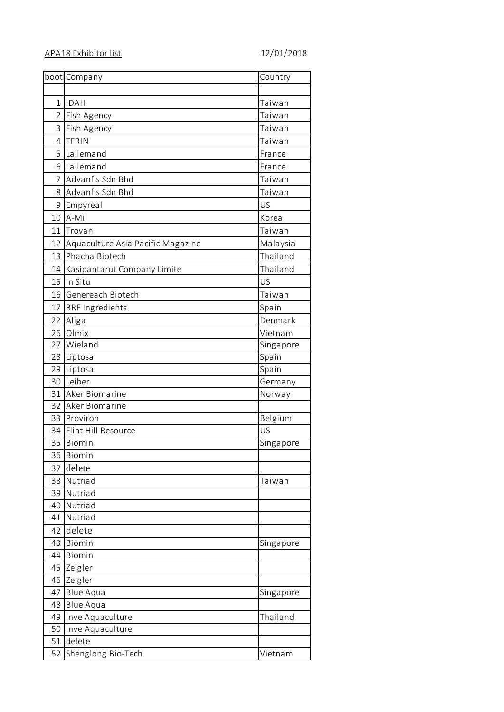|                | boot Company                      | Country   |
|----------------|-----------------------------------|-----------|
|                |                                   |           |
| $\mathbf{1}$   | <b>IDAH</b>                       | Taiwan    |
|                | 2 Fish Agency                     | Taiwan    |
|                | 3 Fish Agency                     | Taiwan    |
| 4 <sup>1</sup> | <b>TFRIN</b>                      | Taiwan    |
|                | 5 Lallemand                       | France    |
|                | 6 Lallemand                       | France    |
|                | 7 Advanfis Sdn Bhd                | Taiwan    |
|                | 8 Advanfis Sdn Bhd                | Taiwan    |
|                | 9 Empyreal                        | US        |
|                | 10 A-Mi                           | Korea     |
|                | 11 Trovan                         | Taiwan    |
| 12             | Aquaculture Asia Pacific Magazine | Malaysia  |
|                | 13 Phacha Biotech                 | Thailand  |
|                | 14 Kasipantarut Company Limite    | Thailand  |
|                | 15 In Situ                        | US        |
|                | 16 Genereach Biotech              | Taiwan    |
|                | 17 BRF Ingredients                | Spain     |
|                | 22 Aliga                          | Denmark   |
|                | 26 Olmix                          | Vietnam   |
| 27             | Wieland                           | Singapore |
|                | 28 Liptosa                        | Spain     |
|                | 29 Liptosa                        | Spain     |
|                | 30 Leiber                         | Germany   |
|                | 31 Aker Biomarine                 | Norway    |
|                | 32 Aker Biomarine                 |           |
|                | 33 Proviron                       | Belgium   |
|                | 34 Flint Hill Resource            | US        |
|                | 35 Biomin                         | Singapore |
| 36             | Biomin                            |           |
| 37             | delete                            |           |
| 38             | Nutriad                           | Taiwan    |
| 39             | Nutriad                           |           |
| 40             | Nutriad                           |           |
| 41             | Nutriad                           |           |
| 42             | delete                            |           |
| 43             | Biomin                            | Singapore |
| 44             | Biomin                            |           |
| 45             | Zeigler                           |           |
|                | 46 Zeigler                        |           |
| 47             | <b>Blue Aqua</b>                  | Singapore |
| 48             | <b>Blue Aqua</b>                  |           |
| 49             | Inve Aquaculture                  | Thailand  |
| 50             | Inve Aquaculture                  |           |
| 51             | delete                            |           |
| 52             | Shenglong Bio-Tech                | Vietnam   |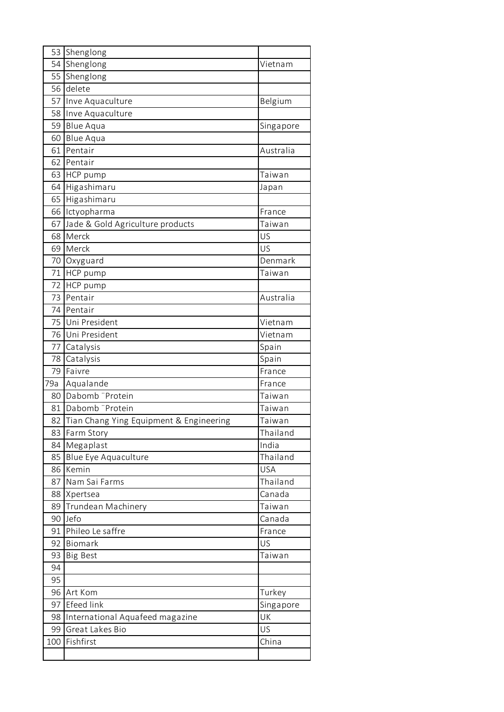|     | 53 Shenglong                               |            |
|-----|--------------------------------------------|------------|
| 54  | Shenglong                                  | Vietnam    |
| 55  | Shenglong                                  |            |
| 56  | delete                                     |            |
| 57  | Inve Aquaculture                           | Belgium    |
| 58  | Inve Aquaculture                           |            |
| 59  | <b>Blue Aqua</b>                           | Singapore  |
| 60  | <b>Blue Aqua</b>                           |            |
| 61  | Pentair                                    | Australia  |
| 62  | Pentair                                    |            |
|     | 63 HCP pump                                | Taiwan     |
| 64  | Higashimaru                                | Japan      |
| 65  | Higashimaru                                |            |
| 66  | Ictyopharma                                | France     |
| 67  | Jade & Gold Agriculture products           | Taiwan     |
| 68  | Merck                                      | US         |
| 69  | Merck                                      | US         |
| 70  | Oxyguard                                   | Denmark    |
| 71  | HCP pump                                   | Taiwan     |
| 72  | HCP pump                                   |            |
| 73  | Pentair                                    | Australia  |
| 74  | Pentair                                    |            |
| 75  | Uni President                              | Vietnam    |
| 76  | Uni President                              | Vietnam    |
| 77  | Catalysis                                  | Spain      |
| 78  | Catalysis                                  | Spain      |
| 79  | Faivre                                     | France     |
| 79a | Aqualande                                  | France     |
| 80  | Dabomb "Protein                            | Taiwan     |
|     | 81 Dabomb "Protein                         | Taiwan     |
|     | 82 Tian Chang Ying Equipment & Engineering | Taiwan     |
| 83  | Farm Story                                 | Thailand   |
| 84  | Megaplast                                  | India      |
| 85  | Blue Eye Aquaculture                       | Thailand   |
| 86  | Kemin                                      | <b>USA</b> |
| 87  | Nam Sai Farms                              | Thailand   |
| 88  | Xpertsea                                   | Canada     |
| 89  | Trundean Machinery                         | Taiwan     |
| 90  | Jefo                                       | Canada     |
| 91  | Phileo Le saffre                           | France     |
| 92  | Biomark                                    | US         |
| 93  | <b>Big Best</b>                            | Taiwan     |
| 94  |                                            |            |
| 95  |                                            |            |
| 96  | Art Kom                                    | Turkey     |
| 97  | <b>Efeed link</b>                          | Singapore  |
| 98  | International Aquafeed magazine            | UK         |
| 99  | Great Lakes Bio                            | US         |
| 100 | Fishfirst                                  | China      |
|     |                                            |            |